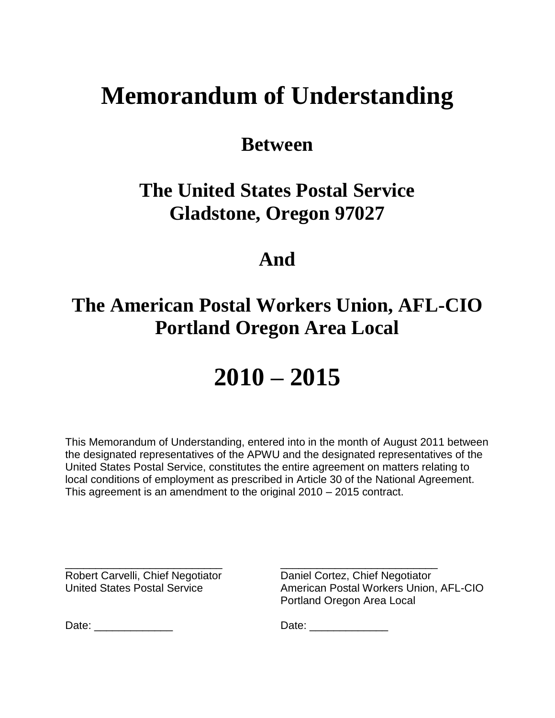# **Memorandum of Understanding**

### **Between**

### **The United States Postal Service Gladstone, Oregon 97027**

### **And**

## **The American Postal Workers Union, AFL-CIO Portland Oregon Area Local**

# **2010 – 2015**

This Memorandum of Understanding, entered into in the month of August 2011 between the designated representatives of the APWU and the designated representatives of the United States Postal Service, constitutes the entire agreement on matters relating to local conditions of employment as prescribed in Article 30 of the National Agreement. This agreement is an amendment to the original 2010 – 2015 contract.

Robert Carvelli, Chief Negotiator Daniel Cortez, Chief Negotiator

\_\_\_\_\_\_\_\_\_\_\_\_\_\_\_\_\_\_\_\_\_\_\_\_\_\_ \_\_\_\_\_\_\_\_\_\_\_\_\_\_\_\_\_\_\_\_\_\_\_\_\_\_ United States Postal Service **American Postal Workers Union, AFL-CIO** Portland Oregon Area Local

Date: \_\_\_\_\_\_\_\_\_\_\_\_\_ Date: \_\_\_\_\_\_\_\_\_\_\_\_\_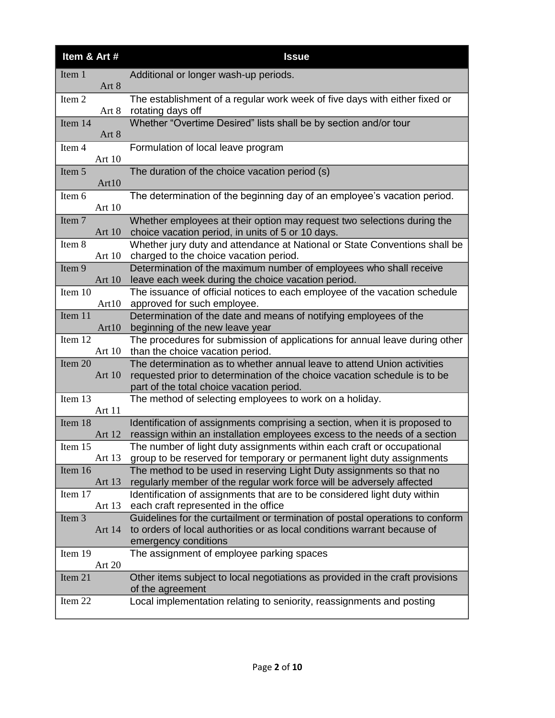| Item & Art #        | <b>Issue</b>                                                                                                                                                                                      |
|---------------------|---------------------------------------------------------------------------------------------------------------------------------------------------------------------------------------------------|
| Item 1<br>Art 8     | Additional or longer wash-up periods.                                                                                                                                                             |
| Item 2<br>Art 8     | The establishment of a regular work week of five days with either fixed or<br>rotating days off                                                                                                   |
| Item 14<br>Art 8    | Whether "Overtime Desired" lists shall be by section and/or tour                                                                                                                                  |
| Item 4<br>Art 10    | Formulation of local leave program                                                                                                                                                                |
| Item 5<br>Art10     | The duration of the choice vacation period (s)                                                                                                                                                    |
| Item 6<br>Art 10    | The determination of the beginning day of an employee's vacation period.                                                                                                                          |
| Item 7<br>Art $10$  | Whether employees at their option may request two selections during the<br>choice vacation period, in units of 5 or 10 days.                                                                      |
| Item 8<br>Art 10    | Whether jury duty and attendance at National or State Conventions shall be<br>charged to the choice vacation period.                                                                              |
| Item 9<br>Art 10    | Determination of the maximum number of employees who shall receive<br>leave each week during the choice vacation period.                                                                          |
| Item 10<br>Art10    | The issuance of official notices to each employee of the vacation schedule<br>approved for such employee.                                                                                         |
| Item 11<br>Art10    | Determination of the date and means of notifying employees of the<br>beginning of the new leave year                                                                                              |
| Item 12<br>Art $10$ | The procedures for submission of applications for annual leave during other<br>than the choice vacation period.                                                                                   |
| Item 20<br>Art 10   | The determination as to whether annual leave to attend Union activities<br>requested prior to determination of the choice vacation schedule is to be<br>part of the total choice vacation period. |
| Item 13<br>Art 11   | The method of selecting employees to work on a holiday.                                                                                                                                           |
| Item 18<br>Art 12   | Identification of assignments comprising a section, when it is proposed to<br>reassign within an installation employees excess to the needs of a section                                          |
| Item 15<br>Art 13   | The number of light duty assignments within each craft or occupational<br>group to be reserved for temporary or permanent light duty assignments                                                  |
| Item 16<br>Art 13   | The method to be used in reserving Light Duty assignments so that no<br>regularly member of the regular work force will be adversely affected                                                     |
| Item 17<br>Art 13   | Identification of assignments that are to be considered light duty within<br>each craft represented in the office                                                                                 |
| Item 3<br>Art 14    | Guidelines for the curtailment or termination of postal operations to conform<br>to orders of local authorities or as local conditions warrant because of<br>emergency conditions                 |
| Item 19<br>Art 20   | The assignment of employee parking spaces                                                                                                                                                         |
| Item 21             | Other items subject to local negotiations as provided in the craft provisions<br>of the agreement                                                                                                 |
| Item 22             | Local implementation relating to seniority, reassignments and posting                                                                                                                             |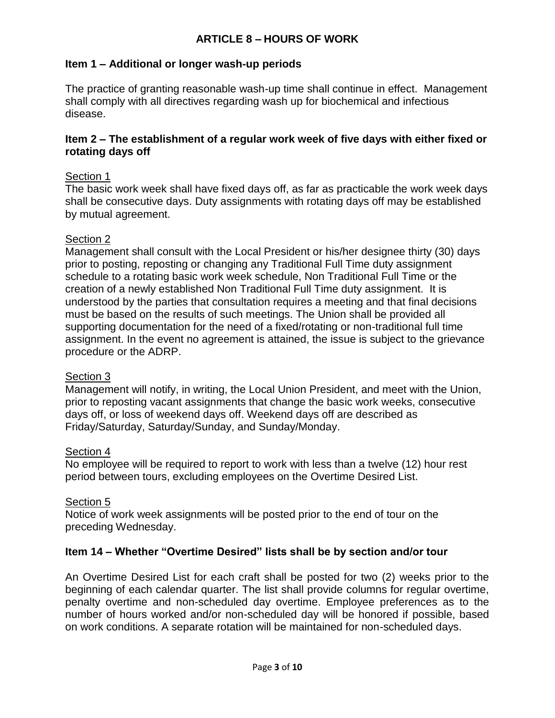#### **Item 1 – Additional or longer wash-up periods**

The practice of granting reasonable wash-up time shall continue in effect. Management shall comply with all directives regarding wash up for biochemical and infectious disease.

#### **Item 2 – The establishment of a regular work week of five days with either fixed or rotating days off**

#### Section 1

The basic work week shall have fixed days off, as far as practicable the work week days shall be consecutive days. Duty assignments with rotating days off may be established by mutual agreement.

#### Section 2

Management shall consult with the Local President or his/her designee thirty (30) days prior to posting, reposting or changing any Traditional Full Time duty assignment schedule to a rotating basic work week schedule, Non Traditional Full Time or the creation of a newly established Non Traditional Full Time duty assignment. It is understood by the parties that consultation requires a meeting and that final decisions must be based on the results of such meetings. The Union shall be provided all supporting documentation for the need of a fixed/rotating or non-traditional full time assignment. In the event no agreement is attained, the issue is subject to the grievance procedure or the ADRP.

#### Section 3

Management will notify, in writing, the Local Union President, and meet with the Union, prior to reposting vacant assignments that change the basic work weeks, consecutive days off, or loss of weekend days off. Weekend days off are described as Friday/Saturday, Saturday/Sunday, and Sunday/Monday.

#### Section 4

No employee will be required to report to work with less than a twelve (12) hour rest period between tours, excluding employees on the Overtime Desired List.

#### Section 5

Notice of work week assignments will be posted prior to the end of tour on the preceding Wednesday.

#### **Item 14 – Whether "Overtime Desired" lists shall be by section and/or tour**

An Overtime Desired List for each craft shall be posted for two (2) weeks prior to the beginning of each calendar quarter. The list shall provide columns for regular overtime, penalty overtime and non-scheduled day overtime. Employee preferences as to the number of hours worked and/or non-scheduled day will be honored if possible, based on work conditions. A separate rotation will be maintained for non-scheduled days.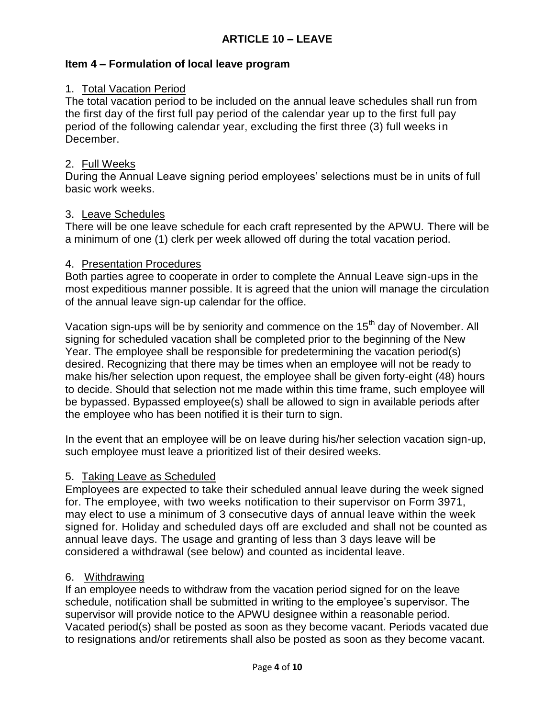#### **Item 4 – Formulation of local leave program**

#### 1. Total Vacation Period

The total vacation period to be included on the annual leave schedules shall run from the first day of the first full pay period of the calendar year up to the first full pay period of the following calendar year, excluding the first three (3) full weeks in December.

#### 2. Full Weeks

During the Annual Leave signing period employees' selections must be in units of full basic work weeks.

#### 3. Leave Schedules

There will be one leave schedule for each craft represented by the APWU. There will be a minimum of one (1) clerk per week allowed off during the total vacation period.

#### 4. Presentation Procedures

Both parties agree to cooperate in order to complete the Annual Leave sign-ups in the most expeditious manner possible. It is agreed that the union will manage the circulation of the annual leave sign-up calendar for the office.

Vacation sign-ups will be by seniority and commence on the 15<sup>th</sup> day of November. All signing for scheduled vacation shall be completed prior to the beginning of the New Year. The employee shall be responsible for predetermining the vacation period(s) desired. Recognizing that there may be times when an employee will not be ready to make his/her selection upon request, the employee shall be given forty-eight (48) hours to decide. Should that selection not me made within this time frame, such employee will be bypassed. Bypassed employee(s) shall be allowed to sign in available periods after the employee who has been notified it is their turn to sign.

In the event that an employee will be on leave during his/her selection vacation sign-up, such employee must leave a prioritized list of their desired weeks.

#### 5. Taking Leave as Scheduled

Employees are expected to take their scheduled annual leave during the week signed for. The employee, with two weeks notification to their supervisor on Form 3971, may elect to use a minimum of 3 consecutive days of annual leave within the week signed for. Holiday and scheduled days off are excluded and shall not be counted as annual leave days. The usage and granting of less than 3 days leave will be considered a withdrawal (see below) and counted as incidental leave.

#### 6. Withdrawing

If an employee needs to withdraw from the vacation period signed for on the leave schedule, notification shall be submitted in writing to the employee's supervisor. The supervisor will provide notice to the APWU designee within a reasonable period. Vacated period(s) shall be posted as soon as they become vacant. Periods vacated due to resignations and/or retirements shall also be posted as soon as they become vacant.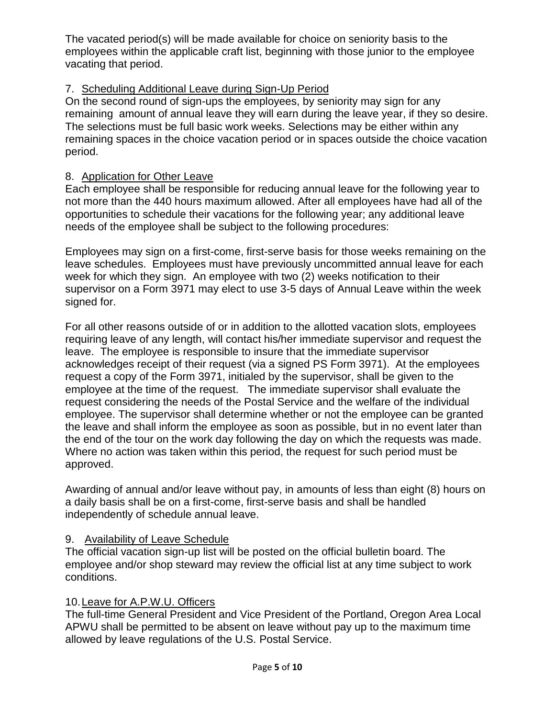The vacated period(s) will be made available for choice on seniority basis to the employees within the applicable craft list, beginning with those junior to the employee vacating that period.

#### 7. Scheduling Additional Leave during Sign-Up Period

On the second round of sign-ups the employees, by seniority may sign for any remaining amount of annual leave they will earn during the leave year, if they so desire. The selections must be full basic work weeks. Selections may be either within any remaining spaces in the choice vacation period or in spaces outside the choice vacation period.

#### 8. Application for Other Leave

Each employee shall be responsible for reducing annual leave for the following year to not more than the 440 hours maximum allowed. After all employees have had all of the opportunities to schedule their vacations for the following year; any additional leave needs of the employee shall be subject to the following procedures:

Employees may sign on a first-come, first-serve basis for those weeks remaining on the leave schedules. Employees must have previously uncommitted annual leave for each week for which they sign. An employee with two (2) weeks notification to their supervisor on a Form 3971 may elect to use 3-5 days of Annual Leave within the week signed for.

For all other reasons outside of or in addition to the allotted vacation slots, employees requiring leave of any length, will contact his/her immediate supervisor and request the leave. The employee is responsible to insure that the immediate supervisor acknowledges receipt of their request (via a signed PS Form 3971). At the employees request a copy of the Form 3971, initialed by the supervisor, shall be given to the employee at the time of the request. The immediate supervisor shall evaluate the request considering the needs of the Postal Service and the welfare of the individual employee. The supervisor shall determine whether or not the employee can be granted the leave and shall inform the employee as soon as possible, but in no event later than the end of the tour on the work day following the day on which the requests was made. Where no action was taken within this period, the request for such period must be approved.

Awarding of annual and/or leave without pay, in amounts of less than eight (8) hours on a daily basis shall be on a first-come, first-serve basis and shall be handled independently of schedule annual leave.

#### 9. Availability of Leave Schedule

The official vacation sign-up list will be posted on the official bulletin board. The employee and/or shop steward may review the official list at any time subject to work conditions.

#### 10.Leave for A.P.W.U. Officers

The full-time General President and Vice President of the Portland, Oregon Area Local APWU shall be permitted to be absent on leave without pay up to the maximum time allowed by leave regulations of the U.S. Postal Service.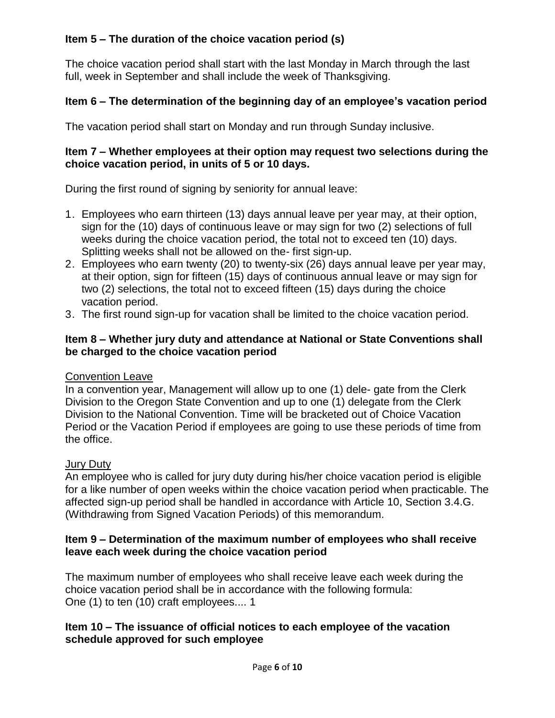#### **Item 5 – The duration of the choice vacation period (s)**

The choice vacation period shall start with the last Monday in March through the last full, week in September and shall include the week of Thanksgiving.

#### **Item 6 – The determination of the beginning day of an employee's vacation period**

The vacation period shall start on Monday and run through Sunday inclusive.

#### **Item 7 – Whether employees at their option may request two selections during the choice vacation period, in units of 5 or 10 days.**

During the first round of signing by seniority for annual leave:

- 1. Employees who earn thirteen (13) days annual leave per year may, at their option, sign for the (10) days of continuous leave or may sign for two (2) selections of full weeks during the choice vacation period, the total not to exceed ten (10) days. Splitting weeks shall not be allowed on the- first sign-up.
- 2. Employees who earn twenty (20) to twenty-six (26) days annual leave per year may, at their option, sign for fifteen (15) days of continuous annual leave or may sign for two (2) selections, the total not to exceed fifteen (15) days during the choice vacation period.
- 3. The first round sign-up for vacation shall be limited to the choice vacation period.

#### **Item 8 – Whether jury duty and attendance at National or State Conventions shall be charged to the choice vacation period**

#### Convention Leave

In a convention year, Management will allow up to one (1) dele- gate from the Clerk Division to the Oregon State Convention and up to one (1) delegate from the Clerk Division to the National Convention. Time will be bracketed out of Choice Vacation Period or the Vacation Period if employees are going to use these periods of time from the office.

#### Jury Duty

An employee who is called for jury duty during his/her choice vacation period is eligible for a like number of open weeks within the choice vacation period when practicable. The affected sign-up period shall be handled in accordance with Article 10, Section 3.4.G. (Withdrawing from Signed Vacation Periods) of this memorandum.

#### **Item 9 – Determination of the maximum number of employees who shall receive leave each week during the choice vacation period**

The maximum number of employees who shall receive leave each week during the choice vacation period shall be in accordance with the following formula: One (1) to ten (10) craft employees.... 1

#### **Item 10 – The issuance of official notices to each employee of the vacation schedule approved for such employee**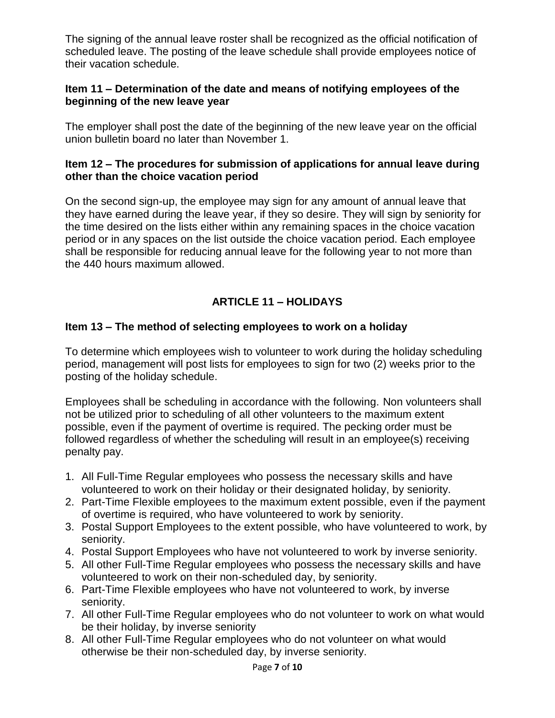The signing of the annual leave roster shall be recognized as the official notification of scheduled leave. The posting of the leave schedule shall provide employees notice of their vacation schedule.

#### **Item 11 – Determination of the date and means of notifying employees of the beginning of the new leave year**

The employer shall post the date of the beginning of the new leave year on the official union bulletin board no later than November 1.

#### **Item 12 – The procedures for submission of applications for annual leave during other than the choice vacation period**

On the second sign-up, the employee may sign for any amount of annual leave that they have earned during the leave year, if they so desire. They will sign by seniority for the time desired on the lists either within any remaining spaces in the choice vacation period or in any spaces on the list outside the choice vacation period. Each employee shall be responsible for reducing annual leave for the following year to not more than the 440 hours maximum allowed.

#### **ARTICLE 11 – HOLIDAYS**

#### **Item 13 – The method of selecting employees to work on a holiday**

To determine which employees wish to volunteer to work during the holiday scheduling period, management will post lists for employees to sign for two (2) weeks prior to the posting of the holiday schedule.

Employees shall be scheduling in accordance with the following. Non volunteers shall not be utilized prior to scheduling of all other volunteers to the maximum extent possible, even if the payment of overtime is required. The pecking order must be followed regardless of whether the scheduling will result in an employee(s) receiving penalty pay.

- 1. All Full-Time Regular employees who possess the necessary skills and have volunteered to work on their holiday or their designated holiday, by seniority.
- 2. Part-Time Flexible employees to the maximum extent possible, even if the payment of overtime is required, who have volunteered to work by seniority.
- 3. Postal Support Employees to the extent possible, who have volunteered to work, by seniority.
- 4. Postal Support Employees who have not volunteered to work by inverse seniority.
- 5. All other Full-Time Regular employees who possess the necessary skills and have volunteered to work on their non-scheduled day, by seniority.
- 6. Part-Time Flexible employees who have not volunteered to work, by inverse seniority.
- 7. All other Full-Time Regular employees who do not volunteer to work on what would be their holiday, by inverse seniority
- 8. All other Full-Time Regular employees who do not volunteer on what would otherwise be their non-scheduled day, by inverse seniority.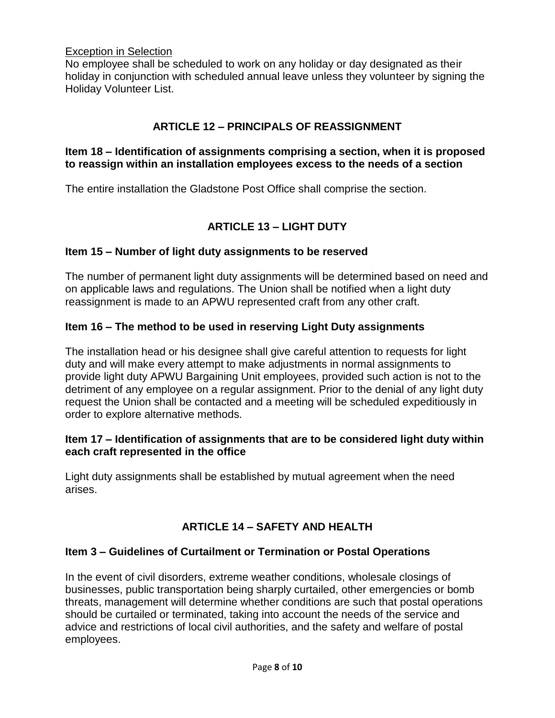#### Exception in Selection

No employee shall be scheduled to work on any holiday or day designated as their holiday in conjunction with scheduled annual leave unless they volunteer by signing the Holiday Volunteer List.

#### **ARTICLE 12 – PRINCIPALS OF REASSIGNMENT**

#### **Item 18 – Identification of assignments comprising a section, when it is proposed to reassign within an installation employees excess to the needs of a section**

The entire installation the Gladstone Post Office shall comprise the section.

#### **ARTICLE 13 – LIGHT DUTY**

#### **Item 15 – Number of light duty assignments to be reserved**

The number of permanent light duty assignments will be determined based on need and on applicable laws and regulations. The Union shall be notified when a light duty reassignment is made to an APWU represented craft from any other craft.

#### **Item 16 – The method to be used in reserving Light Duty assignments**

The installation head or his designee shall give careful attention to requests for light duty and will make every attempt to make adjustments in normal assignments to provide light duty APWU Bargaining Unit employees, provided such action is not to the detriment of any employee on a regular assignment. Prior to the denial of any light duty request the Union shall be contacted and a meeting will be scheduled expeditiously in order to explore alternative methods.

#### **Item 17 – Identification of assignments that are to be considered light duty within each craft represented in the office**

Light duty assignments shall be established by mutual agreement when the need arises.

#### **ARTICLE 14 – SAFETY AND HEALTH**

#### **Item 3 – Guidelines of Curtailment or Termination or Postal Operations**

In the event of civil disorders, extreme weather conditions, wholesale closings of businesses, public transportation being sharply curtailed, other emergencies or bomb threats, management will determine whether conditions are such that postal operations should be curtailed or terminated, taking into account the needs of the service and advice and restrictions of local civil authorities, and the safety and welfare of postal employees.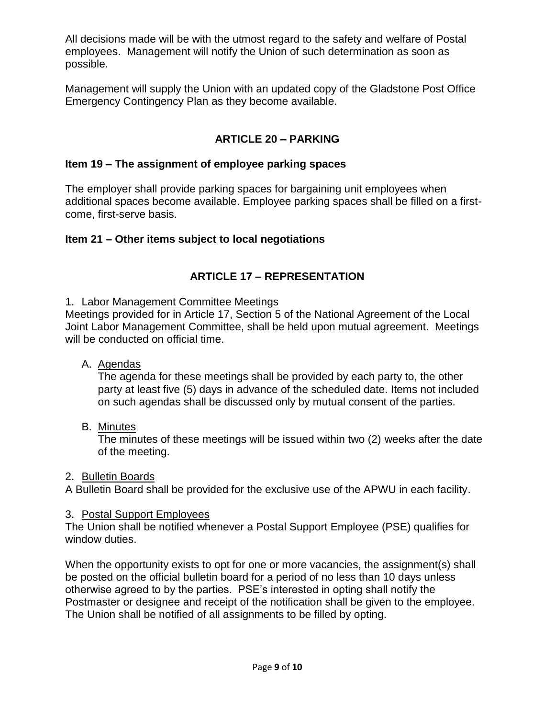All decisions made will be with the utmost regard to the safety and welfare of Postal employees. Management will notify the Union of such determination as soon as possible.

Management will supply the Union with an updated copy of the Gladstone Post Office Emergency Contingency Plan as they become available.

#### **ARTICLE 20 – PARKING**

#### **Item 19 – The assignment of employee parking spaces**

The employer shall provide parking spaces for bargaining unit employees when additional spaces become available. Employee parking spaces shall be filled on a firstcome, first-serve basis.

#### **Item 21 – Other items subject to local negotiations**

#### **ARTICLE 17 – REPRESENTATION**

#### 1. Labor Management Committee Meetings

Meetings provided for in Article 17, Section 5 of the National Agreement of the Local Joint Labor Management Committee, shall be held upon mutual agreement. Meetings will be conducted on official time.

A. Agendas

The agenda for these meetings shall be provided by each party to, the other party at least five (5) days in advance of the scheduled date. Items not included on such agendas shall be discussed only by mutual consent of the parties.

B. Minutes

The minutes of these meetings will be issued within two (2) weeks after the date of the meeting.

#### 2. Bulletin Boards

A Bulletin Board shall be provided for the exclusive use of the APWU in each facility.

#### 3. Postal Support Employees

The Union shall be notified whenever a Postal Support Employee (PSE) qualifies for window duties.

When the opportunity exists to opt for one or more vacancies, the assignment(s) shall be posted on the official bulletin board for a period of no less than 10 days unless otherwise agreed to by the parties. PSE's interested in opting shall notify the Postmaster or designee and receipt of the notification shall be given to the employee. The Union shall be notified of all assignments to be filled by opting.